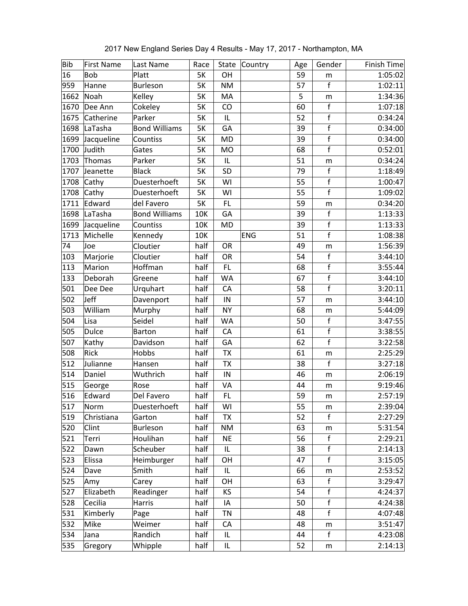| <b>Bib</b> | <b>First Name</b> | Last Name            | Race      | State     | Country    | Age | Gender       | Finish Time |
|------------|-------------------|----------------------|-----------|-----------|------------|-----|--------------|-------------|
| 16         | <b>Bob</b>        | Platt                | <b>5K</b> | OH        |            | 59  | m            | 1:05:02     |
| 959        | Hanne             | <b>Burleson</b>      | <b>5K</b> | <b>NM</b> |            | 57  | $\mathsf f$  | 1:02:11     |
| 1662       | Noah              | Kelley               | <b>5K</b> | MA        |            | 5   | m            | 1:34:36     |
| 1670       | Dee Ann           | Cokeley              | <b>5K</b> | CO        |            | 60  | $\mathsf{f}$ | 1:07:18     |
| 1675       | Catherine         | Parker               | 5K        | IL        |            | 52  | $\mathsf{f}$ | 0:34:24     |
| 1698       | LaTasha           | <b>Bond Williams</b> | <b>5K</b> | GA        |            | 39  | $\mathsf{f}$ | 0:34:00     |
| 1699       | Jacqueline        | Countiss             | <b>5K</b> | MD        |            | 39  | $\mathsf f$  | 0:34:00     |
| 1700       | Judith            | Gates                | 5K        | <b>MO</b> |            | 68  | $\mathsf f$  | 0:52:01     |
| 1703       | Thomas            | Parker               | <b>5K</b> | IL        |            | 51  | m            | 0:34:24     |
| 1707       | Jeanette          | <b>Black</b>         | <b>5K</b> | SD        |            | 79  | $\mathsf f$  | 1:18:49     |
| 1708       | Cathy             | Duesterhoeft         | <b>5K</b> | WI        |            | 55  | $\mathsf f$  | 1:00:47     |
| 1708       | Cathy             | Duesterhoeft         | <b>5K</b> | WI        |            | 55  | $\mathsf{f}$ | 1:09:02     |
| 1711       | Edward            | del Favero           | <b>5K</b> | FL        |            | 59  | m            | 0:34:20     |
| 1698       | LaTasha           | <b>Bond Williams</b> | 10K       | GA        |            | 39  | $\mathsf f$  | 1:13:33     |
| 1699       | Jacqueline        | Countiss             | 10K       | <b>MD</b> |            | 39  | $\mathsf{f}$ | 1:13:33     |
| 1713       | Michelle          | Kennedy              | 10K       |           | <b>ENG</b> | 51  | $\mathsf{f}$ | 1:08:38     |
| 74         | Joe               | Cloutier             | half      | OR        |            | 49  | ${\sf m}$    | 1:56:39     |
| 103        | Marjorie          | Cloutier             | half      | OR        |            | 54  | $\mathsf f$  | 3:44:10     |
| 113        | Marion            | Hoffman              | half      | FL        |            | 68  | $\mathsf f$  | 3:55:44     |
| 133        | Deborah           | Greene               | half      | <b>WA</b> |            | 67  | $\mathsf f$  | 3:44:10     |
| 501        | Dee Dee           | Urquhart             | half      | CA        |            | 58  | $\mathsf{f}$ | 3:20:11     |
| 502        | Jeff              | Davenport            | half      | IN        |            | 57  | m            | 3:44:10     |
| 503        | William           | Murphy               | half      | <b>NY</b> |            | 68  | ${\sf m}$    | 5:44:09     |
| 504        | Lisa              | Seidel               | half      | <b>WA</b> |            | 50  | $\mathsf f$  | 3:47:55     |
| 505        | <b>Dulce</b>      | <b>Barton</b>        | half      | CA        |            | 61  | $\mathsf f$  | 3:38:55     |
| 507        | Kathy             | Davidson             | half      | GA        |            | 62  | $\mathsf{f}$ | 3:22:58     |
| 508        | <b>Rick</b>       | Hobbs                | half      | <b>TX</b> |            | 61  | m            | 2:25:29     |
| 512        | Julianne          | Hansen               | half      | <b>TX</b> |            | 38  | f            | 3:27:18     |
| 514        | Daniel            | Wuthrich             | half      | IN        |            | 46  | m            | 2:06:19     |
| 515        | George            | Rose                 | half      | VA        |            | 44  | m            | 9:19:46     |
| 516        | Edward            | Del Favero           | half      | FL        |            | 59  | m            | 2:57:19     |
| 517        | Norm              | Duesterhoeft         | half      | WI        |            | 55  | m            | 2:39:04     |
| 519        | Christiana        | Garton               | half      | <b>TX</b> |            | 52  | $\mathsf{f}$ | 2:27:29     |
| 520        | Clint             | Burleson             | half      | <b>NM</b> |            | 63  | m            | 5:31:54     |
| 521        | Terri             | Houlihan             | half      | <b>NE</b> |            | 56  | $\mathsf f$  | 2:29:21     |
| 522        | Dawn              | Scheuber             | half      | IL        |            | 38  | f            | 2:14:13     |
| 523        | Elissa            | Heimburger           | half      | OH        |            | 47  | $\mathbf f$  | 3:15:05     |
| 524        | Dave              | Smith                | half      | IL        |            | 66  | m            | 2:53:52     |
| 525        | Amy               | Carey                | half      | OH        |            | 63  | $\mathsf{f}$ | 3:29:47     |
| 527        | Elizabeth         | Readinger            | half      | KS        |            | 54  | $\mathsf{f}$ | 4:24:37     |
| 528        | Cecilia           | Harris               | half      | IA        |            | 50  | $\mathsf f$  | 4:24:38     |
| 531        | Kimberly          | Page                 | half      | <b>TN</b> |            | 48  | f            | 4:07:48     |
| 532        | Mike              | Weimer               | half      | CA        |            | 48  | ${\sf m}$    | 3:51:47     |
| 534        |                   | Randich              | half      | IL        |            | 44  | $\mathsf{f}$ | 4:23:08     |
|            | Jana              |                      |           |           |            | 52  |              |             |
| 535        | Gregory           | Whipple              | half      | IL        |            |     | ${\sf m}$    | 2:14:13     |

2017 New England Series Day 4 Results - May 17, 2017 - Northampton, MA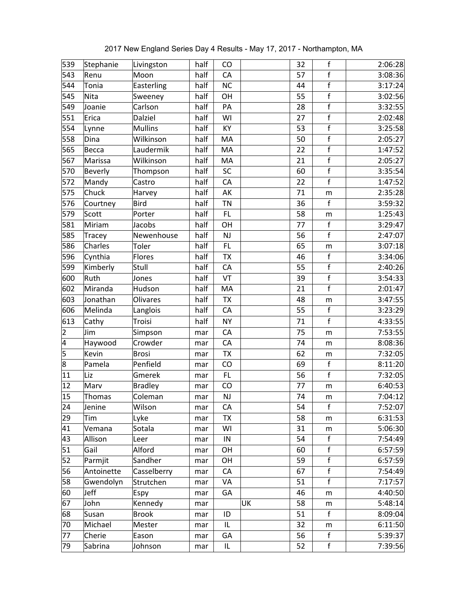| 539                     | Stephanie      | Livingston     | half | CO        |    | 32 | f              | 2:06:28 |
|-------------------------|----------------|----------------|------|-----------|----|----|----------------|---------|
| 543                     | Renu           | Moon           | half | CA        |    | 57 | $\mathsf{f}$   | 3:08:36 |
| 544                     | Tonia          | Easterling     | half | <b>NC</b> |    | 44 | $\overline{f}$ | 3:17:24 |
| 545                     | Nita           | Sweeney        | half | OH        |    | 55 | $\mathsf{f}$   | 3:02:56 |
| 549                     | Joanie         | Carlson        | half | PA        |    | 28 | $\mathsf{f}$   | 3:32:55 |
| 551                     | Erica          | Dalziel        | half | WI        |    | 27 | $\mathsf f$    | 2:02:48 |
| 554                     | Lynne          | <b>Mullins</b> | half | KY        |    | 53 | $\mathsf{f}$   | 3:25:58 |
| 558                     | Dina           | Wilkinson      | half | MA        |    | 50 | $\mathsf f$    | 2:05:27 |
| 565                     | Becca          | Laudermik      | half | MA        |    | 22 | $\mathsf f$    | 1:47:52 |
| 567                     | Marissa        | Wilkinson      | half | MA        |    | 21 | $\mathsf f$    | 2:05:27 |
| 570                     | <b>Beverly</b> | Thompson       | half | SC        |    | 60 | $\mathsf f$    | 3:35:54 |
| 572                     | Mandy          | Castro         | half | CA        |    | 22 | $\mathsf{f}$   | 1:47:52 |
| 575                     | Chuck          | Harvey         | half | AK        |    | 71 | m              | 2:35:28 |
| 576                     | Courtney       | <b>Bird</b>    | half | <b>TN</b> |    | 36 | $\mathsf f$    | 3:59:32 |
| 579                     | Scott          | Porter         | half | FL        |    | 58 | m              | 1:25:43 |
| 581                     | Miriam         | Jacobs         | half | OH        |    | 77 | $\mathsf f$    | 3:29:47 |
| 585                     | Tracey         | Newenhouse     | half | <b>NJ</b> |    | 56 | $\mathbf f$    | 2:47:07 |
| 586                     | Charles        | Toler          | half | FL        |    | 65 | m              | 3:07:18 |
| 596                     | Cynthia        | Flores         | half | <b>TX</b> |    | 46 | f              | 3:34:06 |
| 599                     | Kimberly       | Stull          | half | CA        |    | 55 | $\mathsf f$    | 2:40:26 |
| 600                     | Ruth           | Jones          | half | VT        |    | 39 | $\mathsf f$    | 3:54:33 |
| 602                     | Miranda        | Hudson         | half | MA        |    | 21 | $\overline{f}$ | 2:01:47 |
| 603                     | Jonathan       | Olivares       | half | <b>TX</b> |    | 48 | m              | 3:47:55 |
| 606                     | Melinda        | Langlois       | half | CA        |    | 55 | $\mathsf{f}$   | 3:23:29 |
| 613                     | Cathy          | Troisi         | half | <b>NY</b> |    | 71 | $\mathbf f$    | 4:33:55 |
| $\overline{\mathbf{c}}$ | Jim            | Simpson        | mar  | CA        |    | 75 | ${\sf m}$      | 7:53:55 |
| 4                       | Haywood        | Crowder        | mar  | CA        |    | 74 | m              | 8:08:36 |
| 5                       | Kevin          | <b>Brosi</b>   | mar  | <b>TX</b> |    | 62 | m              | 7:32:05 |
| 8                       | Pamela         | Penfield       | mar  | CO        |    | 69 | $\mathsf{f}$   | 8:11:20 |
| 11                      | Liz            | Gmerek         | mar  | FL        |    | 56 | $\mathsf f$    | 7:32:05 |
| 12                      | Marv           | <b>Bradley</b> | mar  | CO        |    | 77 | m              | 6:40:53 |
| 15                      | Thomas         | Coleman        | mar  | <b>NJ</b> |    | 74 | m              | 7:04:12 |
| 24                      | Jenine         | Wilson         | mar  | CA        |    | 54 | f              | 7:52:07 |
| 29                      | Tim            | Lyke           | mar  | <b>TX</b> |    | 58 | m              | 6:31:53 |
| 41                      | Vemana         | Sotala         | mar  | WI        |    | 31 | m              | 5:06:30 |
| 43                      | Allison        | Leer           | mar  | IN        |    | 54 | $\mathsf f$    | 7:54:49 |
| 51                      | Gail           | Alford         | mar  | OH        |    | 60 | $\mathsf f$    | 6:57:59 |
| 52                      | Parmjit        | Sandher        | mar  | OH        |    | 59 | $\mathsf{f}$   | 6:57:59 |
| 56                      | Antoinette     | Casselberry    | mar  | CA        |    | 67 | $\mathsf f$    | 7:54:49 |
| 58                      | Gwendolyn      | Strutchen      | mar  | VA        |    | 51 | f              | 7:17:57 |
| 60                      | Jeff           | Espy           | mar  | GA        |    | 46 | m              | 4:40:50 |
| 67                      | John           | Kennedy        | mar  |           | UK | 58 | m              | 5:48:14 |
| 68                      | Susan          | <b>Brook</b>   | mar  | ID        |    | 51 | f              | 8:09:04 |
| 70                      | Michael        | Mester         | mar  | IL        |    | 32 | m              | 6:11:50 |
| 77                      | Cherie         | Eason          | mar  | GA        |    | 56 | $\mathsf f$    | 5:39:37 |
| 79                      | Sabrina        | Johnson        | mar  | IL        |    | 52 | $\mathsf f$    | 7:39:56 |

2017 New England Series Day 4 Results - May 17, 2017 - Northampton, MA